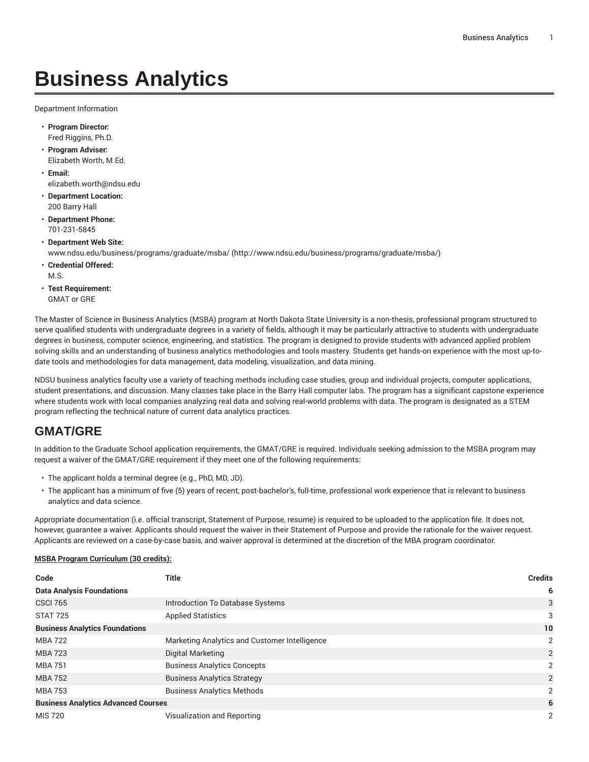## **Business Analytics**

Department Information

- **Program Director:** Fred Riggins, Ph.D.
- **Program Adviser:** Elizabeth Worth, M.Ed.
- **Email:** [elizabeth.worth@ndsu.edu](mailto:elizabeth.worth@ndsu.edu)
- **Department Location:** 200 Barry Hall
- **Department Phone:** 701-231-5845
- **Department Web Site:**
	- [www.ndsu.edu/business/programs/graduate/msba/](http://www.ndsu.edu/business/programs/graduate/msba/) ([http://www.ndsu.edu/business/programs/graduate/msba/\)](http://www.ndsu.edu/business/programs/graduate/msba/)
- **Credential Offered:**
- M.S.
- **Test Requirement:** GMAT or GRE

The Master of Science in Business Analytics (MSBA) program at North Dakota State University is a non-thesis, professional program structured to serve qualified students with undergraduate degrees in a variety of fields, although it may be particularly attractive to students with undergraduate degrees in business, computer science, engineering, and statistics. The program is designed to provide students with advanced applied problem solving skills and an understanding of business analytics methodologies and tools mastery. Students get hands-on experience with the most up-todate tools and methodologies for data management, data modeling, visualization, and data mining.

NDSU business analytics faculty use a variety of teaching methods including case studies, group and individual projects, computer applications, student presentations, and discussion. Many classes take place in the Barry Hall computer labs. The program has a significant capstone experience where students work with local companies analyzing real data and solving real-world problems with data. The program is designated as a STEM program reflecting the technical nature of current data analytics practices.

## **GMAT/GRE**

In addition to the Graduate School application requirements, the GMAT/GRE is required. Individuals seeking admission to the MSBA program may request a waiver of the GMAT/GRE requirement if they meet one of the following requirements:

- The applicant holds a terminal degree (e.g., PhD, MD, JD).
- The applicant has a minimum of five (5) years of recent, post-bachelor's, full-time, professional work experience that is relevant to business analytics and data science.

Appropriate documentation (i.e. official transcript, Statement of Purpose, resume) is required to be uploaded to the application file. It does not, however, guarantee a waiver. Applicants should request the waiver in their Statement of Purpose and provide the rationale for the waiver request. Applicants are reviewed on a case-by-case basis, and waiver approval is determined at the discretion of the MBA program coordinator.

## **MSBA Program Curriculum (30 credits):**

| Code                                       | Title                                         | <b>Credits</b> |
|--------------------------------------------|-----------------------------------------------|----------------|
| <b>Data Analysis Foundations</b>           |                                               | 6              |
| <b>CSCI 765</b>                            | Introduction To Database Systems              | 3              |
| <b>STAT 725</b>                            | <b>Applied Statistics</b>                     | 3              |
| <b>Business Analytics Foundations</b>      |                                               | 10             |
| <b>MBA 722</b>                             | Marketing Analytics and Customer Intelligence | 2              |
| MBA 723                                    | Digital Marketing                             | 2              |
| <b>MBA 751</b>                             | <b>Business Analytics Concepts</b>            | 2              |
| <b>MBA 752</b>                             | <b>Business Analytics Strategy</b>            | 2              |
| <b>MBA 753</b>                             | <b>Business Analytics Methods</b>             | 2              |
| <b>Business Analytics Advanced Courses</b> |                                               | 6              |
| <b>MIS 720</b>                             | Visualization and Reporting                   | 2              |